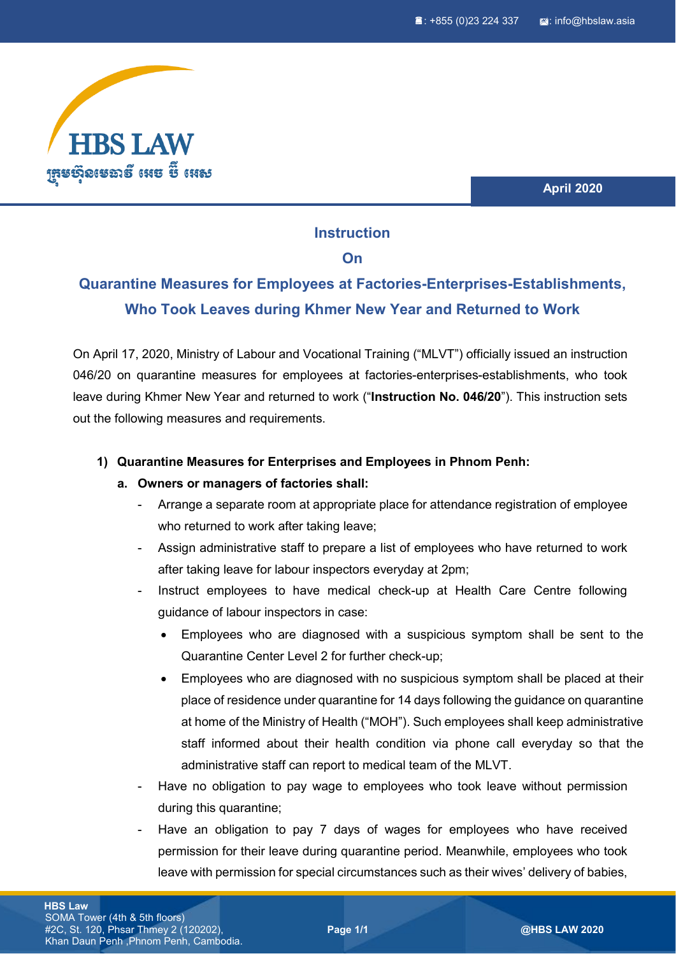

**April 2020**

## **Instruction**

### **On**

# **Quarantine Measures for Employees at Factories-Enterprises-Establishments, Who Took Leaves during Khmer New Year and Returned to Work**

On April 17, 2020, Ministry of Labour and Vocational Training ("MLVT") officially issued an instruction 046/20 on quarantine measures for employees at factories-enterprises-establishments, who took leave during Khmer New Year and returned to work ("**Instruction No. 046/20**"). This instruction sets out the following measures and requirements.

### **1) Quarantine Measures for Enterprises and Employees in Phnom Penh:**

#### **a. Owners or managers of factories shall:**

- Arrange a separate room at appropriate place for attendance registration of employee who returned to work after taking leave;
- Assign administrative staff to prepare a list of employees who have returned to work after taking leave for labour inspectors everyday at 2pm;
- Instruct employees to have medical check-up at Health Care Centre following guidance of labour inspectors in case:
	- Employees who are diagnosed with a suspicious symptom shall be sent to the Quarantine Center Level 2 for further check-up;
	- Employees who are diagnosed with no suspicious symptom shall be placed at their place of residence under quarantine for 14 days following the guidance on quarantine at home of the Ministry of Health ("MOH"). Such employees shall keep administrative staff informed about their health condition via phone call everyday so that the administrative staff can report to medical team of the MLVT.
- Have no obligation to pay wage to employees who took leave without permission during this quarantine;
- Have an obligation to pay 7 days of wages for employees who have received permission for their leave during quarantine period. Meanwhile, employees who took leave with permission for special circumstances such as their wives' delivery of babies,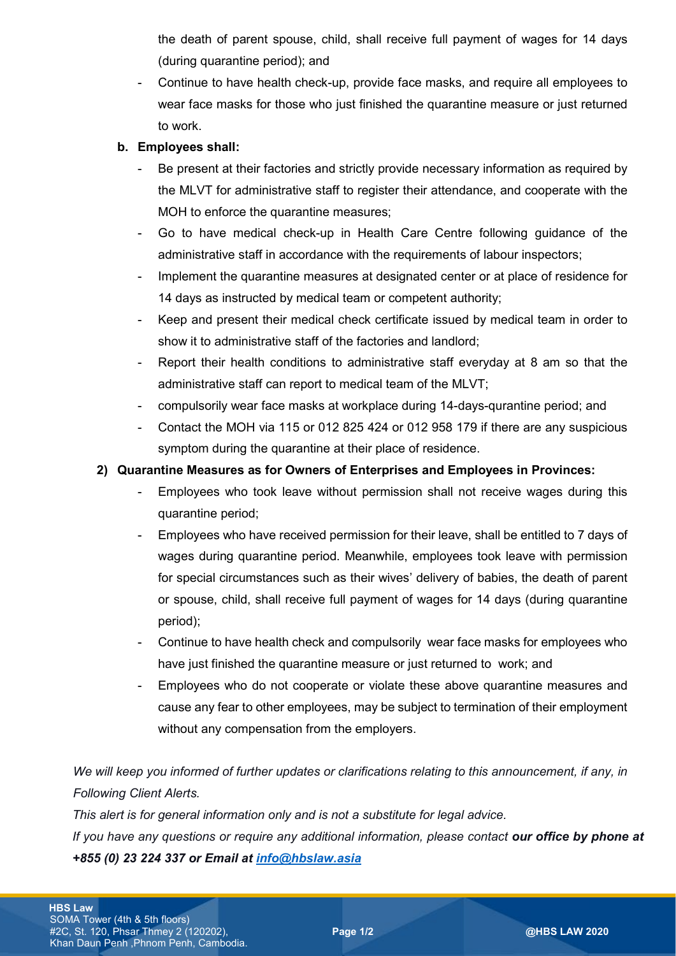the death of parent spouse, child, shall receive full payment of wages for 14 days (during quarantine period); and

Continue to have health check-up, provide face masks, and require all employees to wear face masks for those who just finished the quarantine measure or just returned to work.

### **b. Employees shall:**

- Be present at their factories and strictly provide necessary information as required by the MLVT for administrative staff to register their attendance, and cooperate with the MOH to enforce the quarantine measures;
- Go to have medical check-up in Health Care Centre following guidance of the administrative staff in accordance with the requirements of labour inspectors;
- Implement the quarantine measures at designated center or at place of residence for 14 days as instructed by medical team or competent authority;
- Keep and present their medical check certificate issued by medical team in order to show it to administrative staff of the factories and landlord;
- Report their health conditions to administrative staff everyday at 8 am so that the administrative staff can report to medical team of the MLVT;
- compulsorily wear face masks at workplace during 14-days-qurantine period; and
- Contact the MOH via 115 or 012 825 424 or 012 958 179 if there are any suspicious symptom during the quarantine at their place of residence.

### **2) Quarantine Measures as for Owners of Enterprises and Employees in Provinces:**

- Employees who took leave without permission shall not receive wages during this quarantine period;
- Employees who have received permission for their leave, shall be entitled to 7 days of wages during quarantine period. Meanwhile, employees took leave with permission for special circumstances such as their wives' delivery of babies, the death of parent or spouse, child, shall receive full payment of wages for 14 days (during quarantine period);
- Continue to have health check and compulsorily wear face masks for employees who have just finished the quarantine measure or just returned to work; and
- Employees who do not cooperate or violate these above quarantine measures and cause any fear to other employees, may be subject to termination of their employment without any compensation from the employers.

*We will keep you informed of further updates or clarifications relating to this announcement, if any, in Following Client Alerts.*

*This alert is for general information only and is not a substitute for legal advice.*

*If you have any questions or require any additional information, please contact our office by phone at +855 (0) 23 224 337 or Email at [info@hbslaw.asia](mailto:info@hbslaw.asia)*